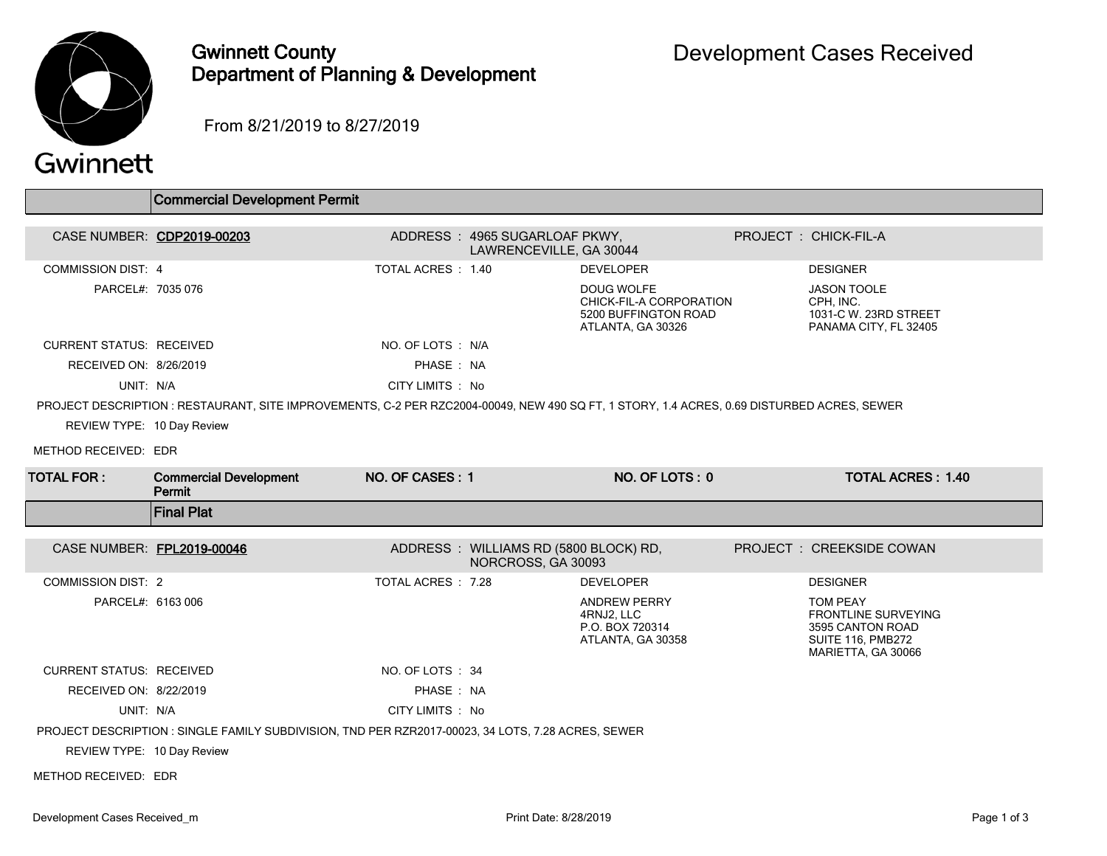

## Gwinnett County Department of Planning & Development

From 8/21/2019 to 8/27/2019

## Gwinnett

|                                 | <b>Commercial Development Permit</b>                                                                                                       |                    |                                                             |                                                                                           |                                                                                                              |  |
|---------------------------------|--------------------------------------------------------------------------------------------------------------------------------------------|--------------------|-------------------------------------------------------------|-------------------------------------------------------------------------------------------|--------------------------------------------------------------------------------------------------------------|--|
| CASE NUMBER: CDP2019-00203      |                                                                                                                                            |                    | ADDRESS: 4965 SUGARLOAF PKWY,<br>LAWRENCEVILLE, GA 30044    |                                                                                           | PROJECT : CHICK-FIL-A                                                                                        |  |
| <b>COMMISSION DIST: 4</b>       |                                                                                                                                            | TOTAL ACRES : 1.40 |                                                             | <b>DEVELOPER</b>                                                                          | <b>DESIGNER</b>                                                                                              |  |
| PARCEL#: 7035 076               |                                                                                                                                            |                    |                                                             | <b>DOUG WOLFE</b><br>CHICK-FIL-A CORPORATION<br>5200 BUFFINGTON ROAD<br>ATLANTA, GA 30326 | <b>JASON TOOLE</b><br>CPH, INC.<br>1031-C W. 23RD STREET<br>PANAMA CITY, FL 32405                            |  |
| <b>CURRENT STATUS: RECEIVED</b> |                                                                                                                                            | NO. OF LOTS: N/A   |                                                             |                                                                                           |                                                                                                              |  |
| RECEIVED ON: 8/26/2019          |                                                                                                                                            | PHASE: NA          |                                                             |                                                                                           |                                                                                                              |  |
| UNIT: N/A                       |                                                                                                                                            | CITY LIMITS: No    |                                                             |                                                                                           |                                                                                                              |  |
|                                 | PROJECT DESCRIPTION : RESTAURANT, SITE IMPROVEMENTS, C-2 PER RZC2004-00049, NEW 490 SQ FT, 1 STORY, 1.4 ACRES, 0.69 DISTURBED ACRES, SEWER |                    |                                                             |                                                                                           |                                                                                                              |  |
| REVIEW TYPE: 10 Day Review      |                                                                                                                                            |                    |                                                             |                                                                                           |                                                                                                              |  |
| METHOD RECEIVED: EDR            |                                                                                                                                            |                    |                                                             |                                                                                           |                                                                                                              |  |
| <b>TOTAL FOR:</b>               | <b>Commercial Development</b><br>Permit                                                                                                    | NO. OF CASES: 1    |                                                             | NO. OF LOTS: 0                                                                            | <b>TOTAL ACRES: 1.40</b>                                                                                     |  |
|                                 |                                                                                                                                            |                    |                                                             |                                                                                           |                                                                                                              |  |
|                                 | <b>Final Plat</b>                                                                                                                          |                    |                                                             |                                                                                           |                                                                                                              |  |
| CASE NUMBER: FPL2019-00046      |                                                                                                                                            |                    | ADDRESS: WILLIAMS RD (5800 BLOCK) RD,<br>NORCROSS, GA 30093 |                                                                                           | PROJECT: CREEKSIDE COWAN                                                                                     |  |
| <b>COMMISSION DIST: 2</b>       |                                                                                                                                            | TOTAL ACRES: 7.28  |                                                             | <b>DEVELOPER</b>                                                                          | <b>DESIGNER</b>                                                                                              |  |
| PARCEL#: 6163 006               |                                                                                                                                            |                    |                                                             | ANDREW PERRY<br>4RNJ2, LLC<br>P.O. BOX 720314<br>ATLANTA, GA 30358                        | TOM PEAY<br><b>FRONTLINE SURVEYING</b><br>3595 CANTON ROAD<br><b>SUITE 116, PMB272</b><br>MARIETTA, GA 30066 |  |
| <b>CURRENT STATUS: RECEIVED</b> |                                                                                                                                            | NO. OF LOTS : 34   |                                                             |                                                                                           |                                                                                                              |  |
| RECEIVED ON: 8/22/2019          |                                                                                                                                            | PHASE: NA          |                                                             |                                                                                           |                                                                                                              |  |
| UNIT: N/A                       |                                                                                                                                            | CITY LIMITS : No   |                                                             |                                                                                           |                                                                                                              |  |
|                                 | PROJECT DESCRIPTION : SINGLE FAMILY SUBDIVISION, TND PER RZR2017-00023, 34 LOTS, 7.28 ACRES, SEWER                                         |                    |                                                             |                                                                                           |                                                                                                              |  |
| REVIEW TYPE: 10 Day Review      |                                                                                                                                            |                    |                                                             |                                                                                           |                                                                                                              |  |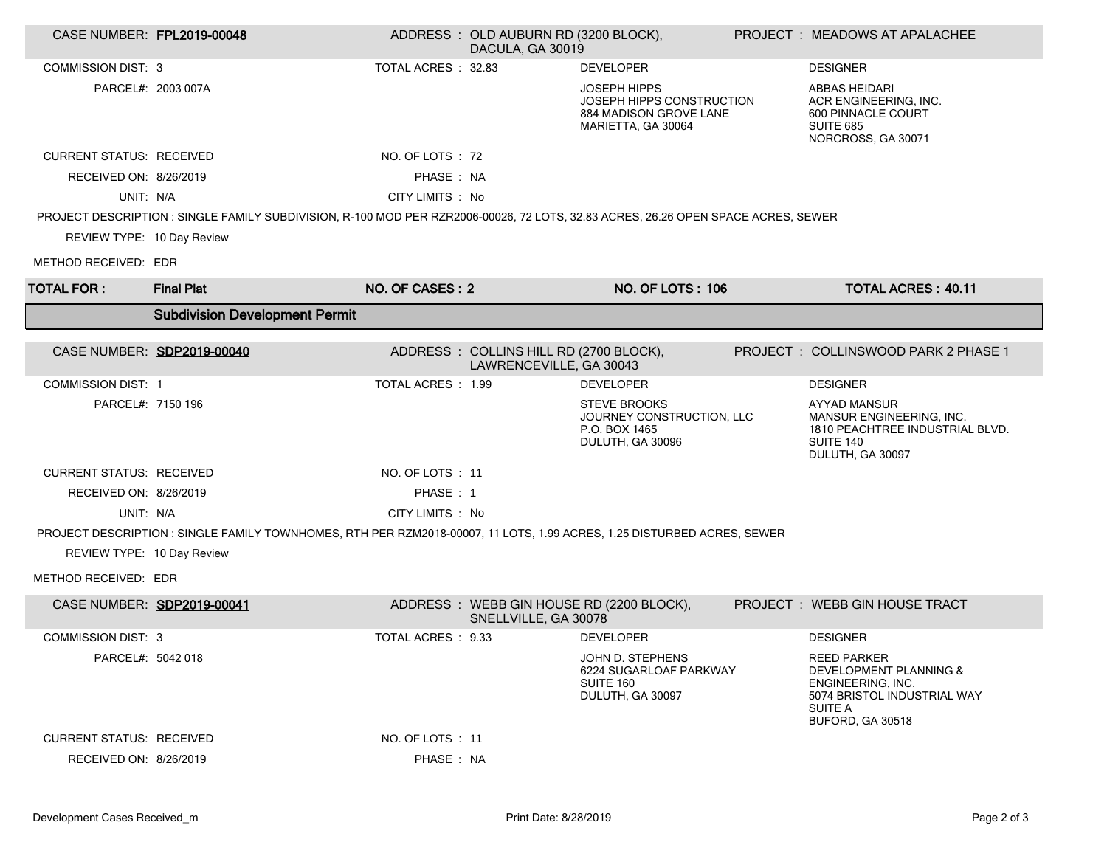| CASE NUMBER: FPL2019-00048      |                                                                                                                                   |                     | ADDRESS: OLD AUBURN RD (3200 BLOCK),<br>DACULA, GA 30019          |                                                                                                  | PROJECT : MEADOWS AT APALACHEE                                                                                                                    |
|---------------------------------|-----------------------------------------------------------------------------------------------------------------------------------|---------------------|-------------------------------------------------------------------|--------------------------------------------------------------------------------------------------|---------------------------------------------------------------------------------------------------------------------------------------------------|
| <b>COMMISSION DIST: 3</b>       |                                                                                                                                   | TOTAL ACRES : 32.83 |                                                                   | <b>DEVELOPER</b>                                                                                 | <b>DESIGNER</b>                                                                                                                                   |
|                                 | PARCEL#: 2003 007A                                                                                                                |                     |                                                                   | <b>JOSEPH HIPPS</b><br>JOSEPH HIPPS CONSTRUCTION<br>884 MADISON GROVE LANE<br>MARIETTA, GA 30064 | ABBAS HEIDARI<br>ACR ENGINEERING, INC.<br>600 PINNACLE COURT<br><b>SUITE 685</b><br>NORCROSS, GA 30071                                            |
| <b>CURRENT STATUS: RECEIVED</b> |                                                                                                                                   | NO. OF LOTS : 72    |                                                                   |                                                                                                  |                                                                                                                                                   |
| RECEIVED ON: 8/26/2019          |                                                                                                                                   | PHASE: NA           |                                                                   |                                                                                                  |                                                                                                                                                   |
| UNIT: N/A                       |                                                                                                                                   | CITY LIMITS : No    |                                                                   |                                                                                                  |                                                                                                                                                   |
|                                 | PROJECT DESCRIPTION : SINGLE FAMILY SUBDIVISION, R-100 MOD PER RZR2006-00026, 72 LOTS, 32.83 ACRES, 26.26 OPEN SPACE ACRES, SEWER |                     |                                                                   |                                                                                                  |                                                                                                                                                   |
| REVIEW TYPE: 10 Day Review      |                                                                                                                                   |                     |                                                                   |                                                                                                  |                                                                                                                                                   |
| METHOD RECEIVED: EDR            |                                                                                                                                   |                     |                                                                   |                                                                                                  |                                                                                                                                                   |
| <b>TOTAL FOR:</b>               | <b>Final Plat</b>                                                                                                                 | NO. OF CASES: 2     |                                                                   | <b>NO. OF LOTS: 106</b>                                                                          | <b>TOTAL ACRES: 40.11</b>                                                                                                                         |
|                                 | <b>Subdivision Development Permit</b>                                                                                             |                     |                                                                   |                                                                                                  |                                                                                                                                                   |
|                                 | CASE NUMBER: SDP2019-00040                                                                                                        |                     | ADDRESS: COLLINS HILL RD (2700 BLOCK),<br>LAWRENCEVILLE, GA 30043 |                                                                                                  | PROJECT: COLLINSWOOD PARK 2 PHASE 1                                                                                                               |
| <b>COMMISSION DIST: 1</b>       |                                                                                                                                   | TOTAL ACRES : 1.99  |                                                                   | <b>DEVELOPER</b>                                                                                 | <b>DESIGNER</b>                                                                                                                                   |
| PARCEL#: 7150 196               |                                                                                                                                   |                     |                                                                   | <b>STEVE BROOKS</b><br>JOURNEY CONSTRUCTION, LLC<br>P.O. BOX 1465<br>DULUTH, GA 30096            | AYYAD MANSUR<br><b>MANSUR ENGINEERING. INC.</b><br>1810 PEACHTREE INDUSTRIAL BLVD.<br>SUITE 140<br>DULUTH, GA 30097                               |
| <b>CURRENT STATUS: RECEIVED</b> |                                                                                                                                   | NO. OF LOTS: 11     |                                                                   |                                                                                                  |                                                                                                                                                   |
| RECEIVED ON: 8/26/2019          |                                                                                                                                   | PHASE: 1            |                                                                   |                                                                                                  |                                                                                                                                                   |
| UNIT: N/A                       |                                                                                                                                   | CITY LIMITS : No    |                                                                   |                                                                                                  |                                                                                                                                                   |
|                                 | PROJECT DESCRIPTION : SINGLE FAMILY TOWNHOMES, RTH PER RZM2018-00007, 11 LOTS, 1.99 ACRES, 1.25 DISTURBED ACRES, SEWER            |                     |                                                                   |                                                                                                  |                                                                                                                                                   |
| REVIEW TYPE: 10 Day Review      |                                                                                                                                   |                     |                                                                   |                                                                                                  |                                                                                                                                                   |
| METHOD RECEIVED: EDR            |                                                                                                                                   |                     |                                                                   |                                                                                                  |                                                                                                                                                   |
|                                 | CASE NUMBER: SDP2019-00041                                                                                                        |                     | SNELLVILLE, GA 30078                                              | ADDRESS : WEBB GIN HOUSE RD (2200 BLOCK),                                                        | PROJECT : WEBB GIN HOUSE TRACT                                                                                                                    |
| <b>COMMISSION DIST: 3</b>       |                                                                                                                                   | TOTAL ACRES : 9.33  |                                                                   | <b>DEVELOPER</b>                                                                                 | <b>DESIGNER</b>                                                                                                                                   |
| PARCEL#: 5042 018               |                                                                                                                                   |                     |                                                                   | JOHN D. STEPHENS<br>6224 SUGARLOAF PARKWAY<br><b>SUITE 160</b><br>DULUTH, GA 30097               | <b>REED PARKER</b><br><b>DEVELOPMENT PLANNING &amp;</b><br>ENGINEERING. INC.<br>5074 BRISTOL INDUSTRIAL WAY<br><b>SUITE A</b><br>BUFORD, GA 30518 |
| <b>CURRENT STATUS: RECEIVED</b> |                                                                                                                                   | NO. OF LOTS : 11    |                                                                   |                                                                                                  |                                                                                                                                                   |
| RECEIVED ON: 8/26/2019          |                                                                                                                                   | PHASE: NA           |                                                                   |                                                                                                  |                                                                                                                                                   |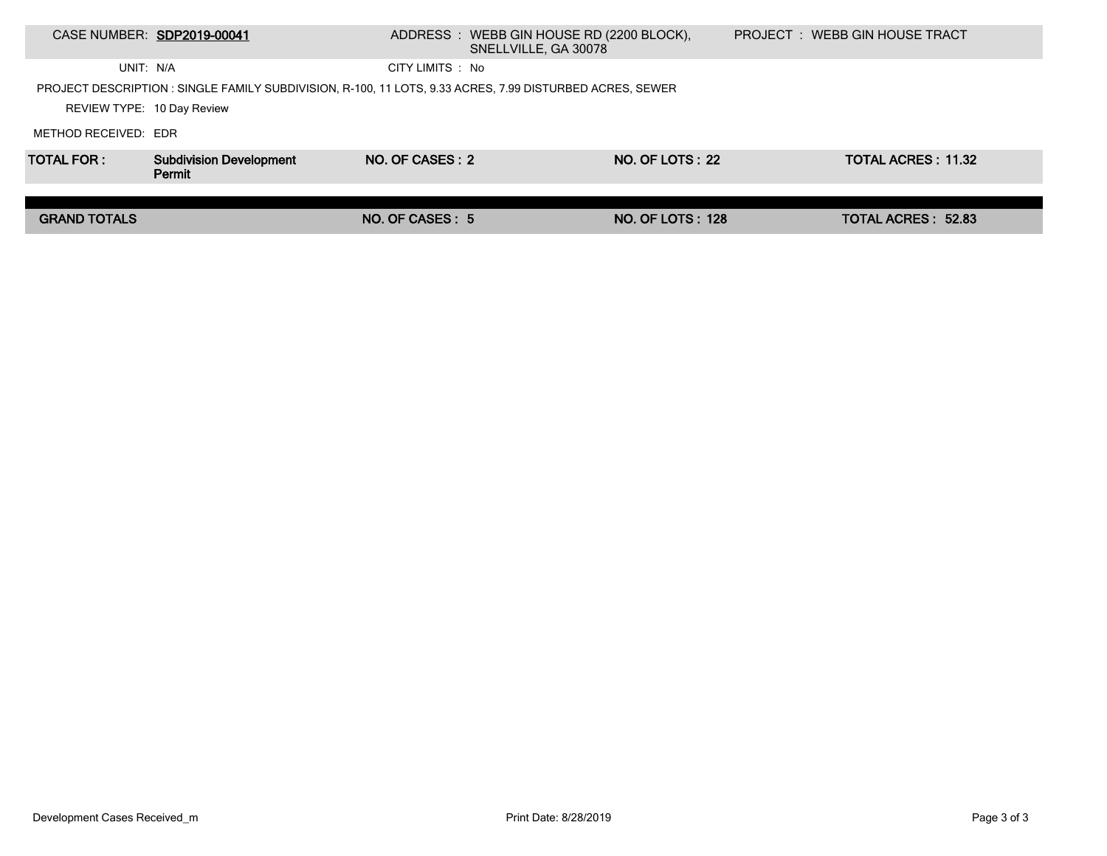|                            | CASE NUMBER: SDP2019-00041                                                                               |                  | ADDRESS : WEBB GIN HOUSE RD (2200 BLOCK),<br>SNELLVILLE, GA 30078 |                         | PROJECT: WEBB GIN HOUSE TRACT |  |
|----------------------------|----------------------------------------------------------------------------------------------------------|------------------|-------------------------------------------------------------------|-------------------------|-------------------------------|--|
| UNIT: N/A                  |                                                                                                          | CITY LIMITS : No |                                                                   |                         |                               |  |
|                            | PROJECT DESCRIPTION : SINGLE FAMILY SUBDIVISION, R-100, 11 LOTS, 9.33 ACRES, 7.99 DISTURBED ACRES, SEWER |                  |                                                                   |                         |                               |  |
| REVIEW TYPE: 10 Day Review |                                                                                                          |                  |                                                                   |                         |                               |  |
| METHOD RECEIVED: EDR       |                                                                                                          |                  |                                                                   |                         |                               |  |
| <b>TOTAL FOR:</b>          | <b>Subdivision Development</b><br>Permit                                                                 | NO. OF CASES: 2  |                                                                   | NO. OF LOTS: 22         | <b>TOTAL ACRES: 11.32</b>     |  |
|                            |                                                                                                          |                  |                                                                   |                         |                               |  |
| <b>GRAND TOTALS</b>        |                                                                                                          | NO. OF CASES: 5  |                                                                   | <b>NO. OF LOTS: 128</b> | <b>TOTAL ACRES: 52.83</b>     |  |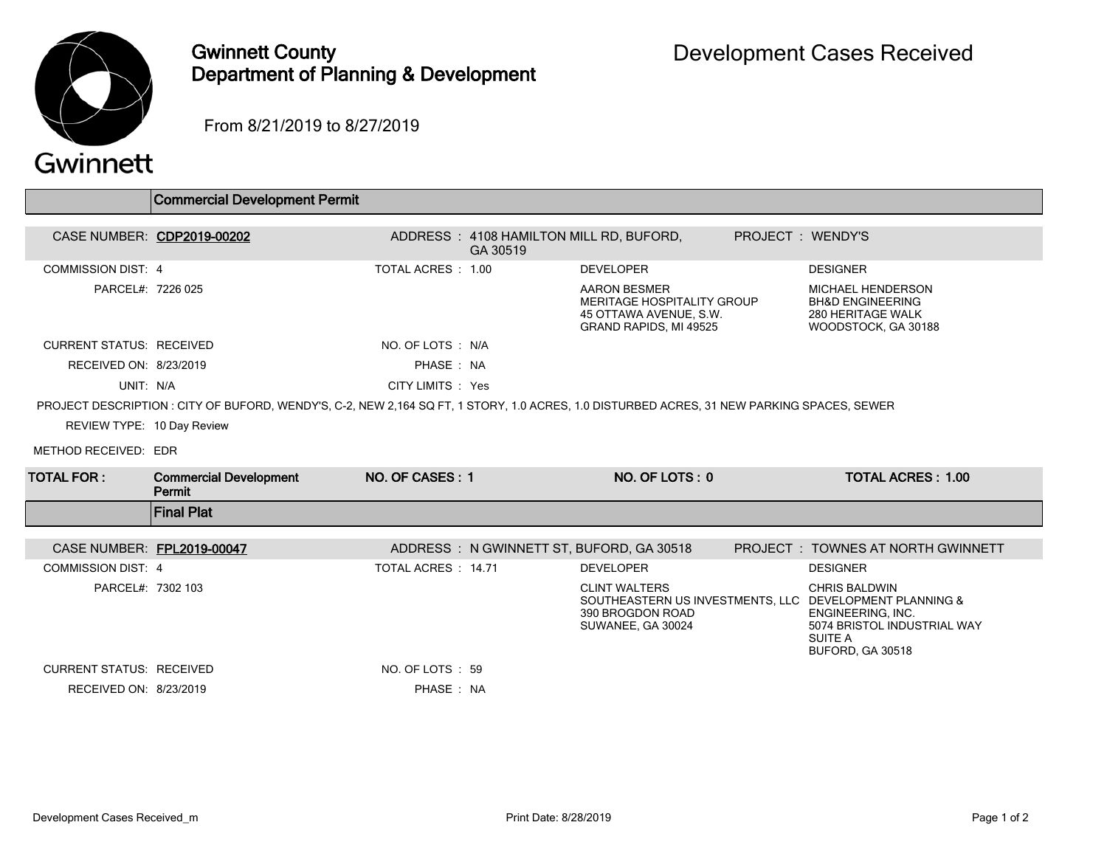

## Gwinnett County Department of Planning & Development

From 8/21/2019 to 8/27/2019

| Gwinnett |  |  |
|----------|--|--|
|          |  |  |

 $\sqrt{2}$ 

ſ

|                                 | <b>Commercial Development Permit</b>                                                                                                       |                     |                                                     |                                                                                                              |                   |                                                                                                                                                                    |  |
|---------------------------------|--------------------------------------------------------------------------------------------------------------------------------------------|---------------------|-----------------------------------------------------|--------------------------------------------------------------------------------------------------------------|-------------------|--------------------------------------------------------------------------------------------------------------------------------------------------------------------|--|
|                                 |                                                                                                                                            |                     |                                                     |                                                                                                              |                   |                                                                                                                                                                    |  |
|                                 | CASE NUMBER: CDP2019-00202                                                                                                                 |                     | ADDRESS: 4108 HAMILTON MILL RD, BUFORD,<br>GA 30519 |                                                                                                              | PROJECT : WENDY'S |                                                                                                                                                                    |  |
| <b>COMMISSION DIST: 4</b>       |                                                                                                                                            | TOTAL ACRES: 1.00   |                                                     | <b>DEVELOPER</b>                                                                                             |                   | <b>DESIGNER</b>                                                                                                                                                    |  |
| PARCEL#: 7226 025               |                                                                                                                                            |                     |                                                     | <b>AARON BESMER</b><br>MERITAGE HOSPITALITY GROUP<br>45 OTTAWA AVENUE, S.W.<br><b>GRAND RAPIDS. MI 49525</b> |                   | <b>MICHAEL HENDERSON</b><br><b>BH&amp;D ENGINEERING</b><br>280 HERITAGE WALK<br>WOODSTOCK, GA 30188                                                                |  |
| <b>CURRENT STATUS: RECEIVED</b> |                                                                                                                                            | NO. OF LOTS : N/A   |                                                     |                                                                                                              |                   |                                                                                                                                                                    |  |
| RECEIVED ON: 8/23/2019          |                                                                                                                                            | PHASE: NA           |                                                     |                                                                                                              |                   |                                                                                                                                                                    |  |
| UNIT: N/A                       |                                                                                                                                            | CITY LIMITS : Yes   |                                                     |                                                                                                              |                   |                                                                                                                                                                    |  |
|                                 | PROJECT DESCRIPTION : CITY OF BUFORD, WENDY'S, C-2, NEW 2,164 SQ FT, 1 STORY, 1.0 ACRES, 1.0 DISTURBED ACRES, 31 NEW PARKING SPACES, SEWER |                     |                                                     |                                                                                                              |                   |                                                                                                                                                                    |  |
| REVIEW TYPE: 10 Day Review      |                                                                                                                                            |                     |                                                     |                                                                                                              |                   |                                                                                                                                                                    |  |
| METHOD RECEIVED: EDR            |                                                                                                                                            |                     |                                                     |                                                                                                              |                   |                                                                                                                                                                    |  |
| <b>TOTAL FOR :</b>              | <b>Commercial Development</b><br>Permit                                                                                                    | NO. OF CASES: 1     |                                                     | NO. OF LOTS: 0                                                                                               |                   | <b>TOTAL ACRES: 1.00</b>                                                                                                                                           |  |
|                                 | <b>Final Plat</b>                                                                                                                          |                     |                                                     |                                                                                                              |                   |                                                                                                                                                                    |  |
| CASE NUMBER: FPL2019-00047      |                                                                                                                                            |                     |                                                     | ADDRESS: N GWINNETT ST, BUFORD, GA 30518                                                                     |                   | <b>PROJECT : TOWNES AT NORTH GWINNETT</b>                                                                                                                          |  |
| <b>COMMISSION DIST: 4</b>       |                                                                                                                                            | TOTAL ACRES : 14.71 |                                                     | <b>DEVELOPER</b>                                                                                             |                   | <b>DESIGNER</b>                                                                                                                                                    |  |
| PARCEL#: 7302 103               |                                                                                                                                            |                     |                                                     | <b>CLINT WALTERS</b><br>390 BROGDON ROAD<br>SUWANEE, GA 30024                                                |                   | <b>CHRIS BALDWIN</b><br>SOUTHEASTERN US INVESTMENTS, LLC DEVELOPMENT PLANNING &<br>ENGINEERING, INC.<br>5074 BRISTOL INDUSTRIAL WAY<br>SUITE A<br>BUFORD, GA 30518 |  |
| <b>CURRENT STATUS: RECEIVED</b> |                                                                                                                                            | NO. OF LOTS: 59     |                                                     |                                                                                                              |                   |                                                                                                                                                                    |  |
| RECEIVED ON: 8/23/2019          |                                                                                                                                            | PHASE : NA          |                                                     |                                                                                                              |                   |                                                                                                                                                                    |  |